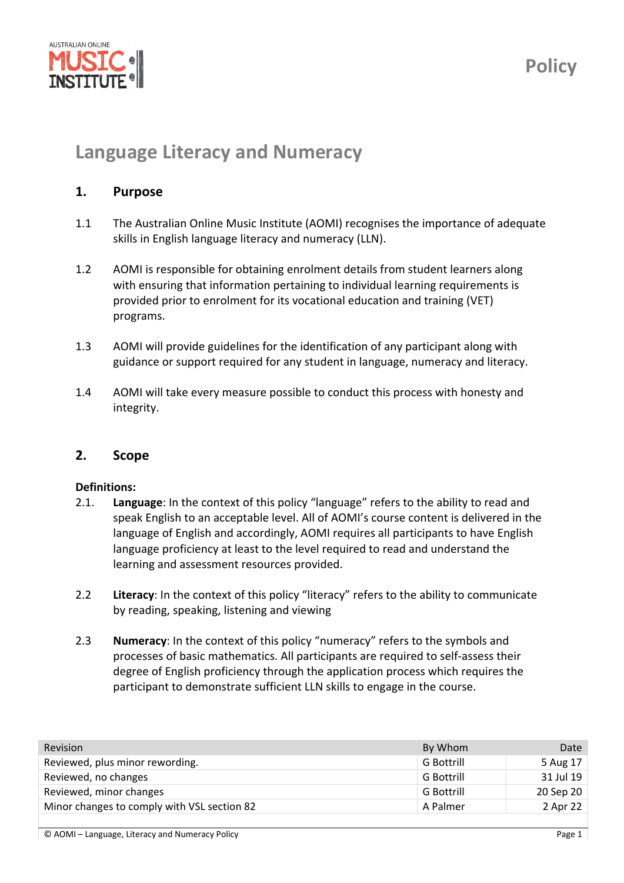

# **Language Literacy and Numeracy**

### **1. Purpose**

- 1.1 The Australian Online Music Institute (AOMI) recognises the importance of adequate skills in English language literacy and numeracy (LLN).
- 1.2 AOMI is responsible for obtaining enrolment details from student learners along with ensuring that information pertaining to individual learning requirements is provided prior to enrolment for its vocational education and training (VET) programs.
- 1.3 AOMI will provide guidelines for the identification of any participant along with guidance or support required for any student in language, numeracy and literacy.
- 1.4 AOMI will take every measure possible to conduct this process with honesty and integrity.

#### **2. Scope**

#### **Definitions:**

- 2.1. **Language**: In the context of this policy "language" refers to the ability to read and speak English to an acceptable level. All of AOMI's course content is delivered in the language of English and accordingly, AOMI requires all participants to have English language proficiency at least to the level required to read and understand the learning and assessment resources provided.
- 2.2 **Literacy**: In the context of this policy "literacy" refers to the ability to communicate by reading, speaking, listening and viewing
- 2.3 **Numeracy**: In the context of this policy "numeracy" refers to the symbols and processes of basic mathematics. All participants are required to self‐assess their degree of English proficiency through the application process which requires the participant to demonstrate sufficient LLN skills to engage in the course.

| <b>Revision</b>                             | By Whom           | Date      |
|---------------------------------------------|-------------------|-----------|
| Reviewed, plus minor rewording.             | G Bottrill        | 5 Aug 17  |
| Reviewed, no changes                        | G Bottrill        | 31 Jul 19 |
| Reviewed, minor changes                     | <b>G</b> Bottrill | 20 Sep 20 |
| Minor changes to comply with VSL section 82 | A Palmer          | 2 Apr 22  |
|                                             |                   |           |